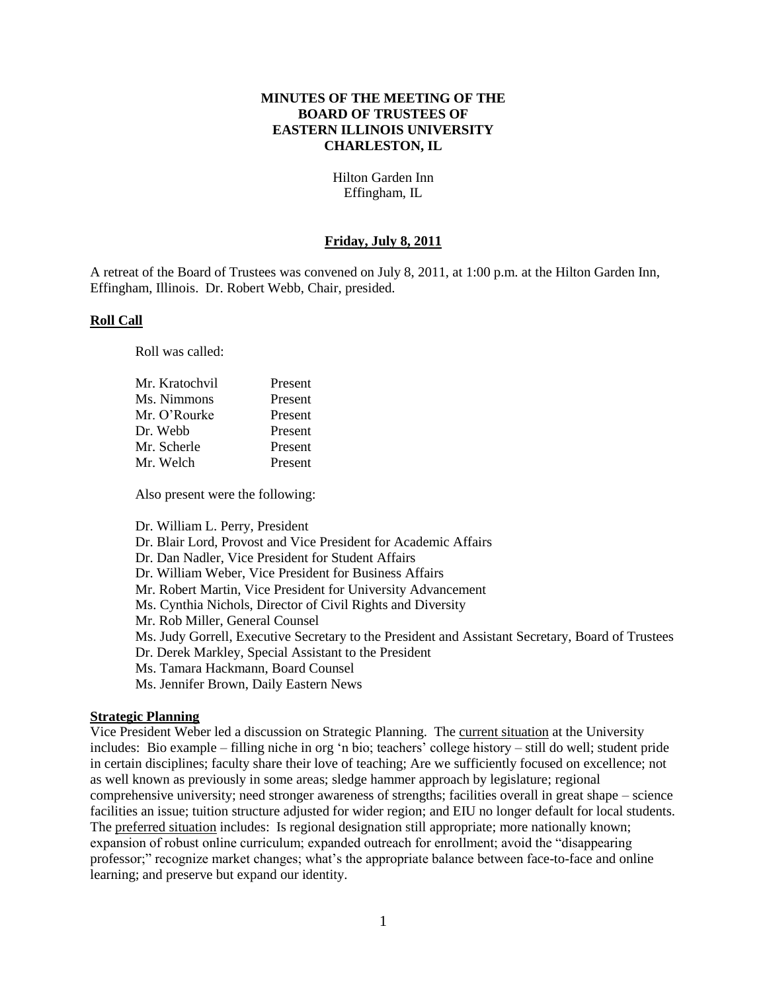#### **MINUTES OF THE MEETING OF THE BOARD OF TRUSTEES OF EASTERN ILLINOIS UNIVERSITY CHARLESTON, IL**

Hilton Garden Inn Effingham, IL

#### **Friday, July 8, 2011**

A retreat of the Board of Trustees was convened on July 8, 2011, at 1:00 p.m. at the Hilton Garden Inn, Effingham, Illinois. Dr. Robert Webb, Chair, presided.

#### **Roll Call**

Roll was called:

| Present |
|---------|
| Present |
| Present |
| Present |
| Present |
| Present |
|         |

Also present were the following:

Dr. William L. Perry, President Dr. Blair Lord, Provost and Vice President for Academic Affairs Dr. Dan Nadler, Vice President for Student Affairs Dr. William Weber, Vice President for Business Affairs Mr. Robert Martin, Vice President for University Advancement Ms. Cynthia Nichols, Director of Civil Rights and Diversity Mr. Rob Miller, General Counsel Ms. Judy Gorrell, Executive Secretary to the President and Assistant Secretary, Board of Trustees Dr. Derek Markley, Special Assistant to the President Ms. Tamara Hackmann, Board Counsel Ms. Jennifer Brown, Daily Eastern News

#### **Strategic Planning**

Vice President Weber led a discussion on Strategic Planning. The current situation at the University includes: Bio example – filling niche in org 'n bio; teachers' college history – still do well; student pride in certain disciplines; faculty share their love of teaching; Are we sufficiently focused on excellence; not as well known as previously in some areas; sledge hammer approach by legislature; regional comprehensive university; need stronger awareness of strengths; facilities overall in great shape – science facilities an issue; tuition structure adjusted for wider region; and EIU no longer default for local students. The preferred situation includes: Is regional designation still appropriate; more nationally known; expansion of robust online curriculum; expanded outreach for enrollment; avoid the "disappearing professor;" recognize market changes; what"s the appropriate balance between face-to-face and online learning; and preserve but expand our identity.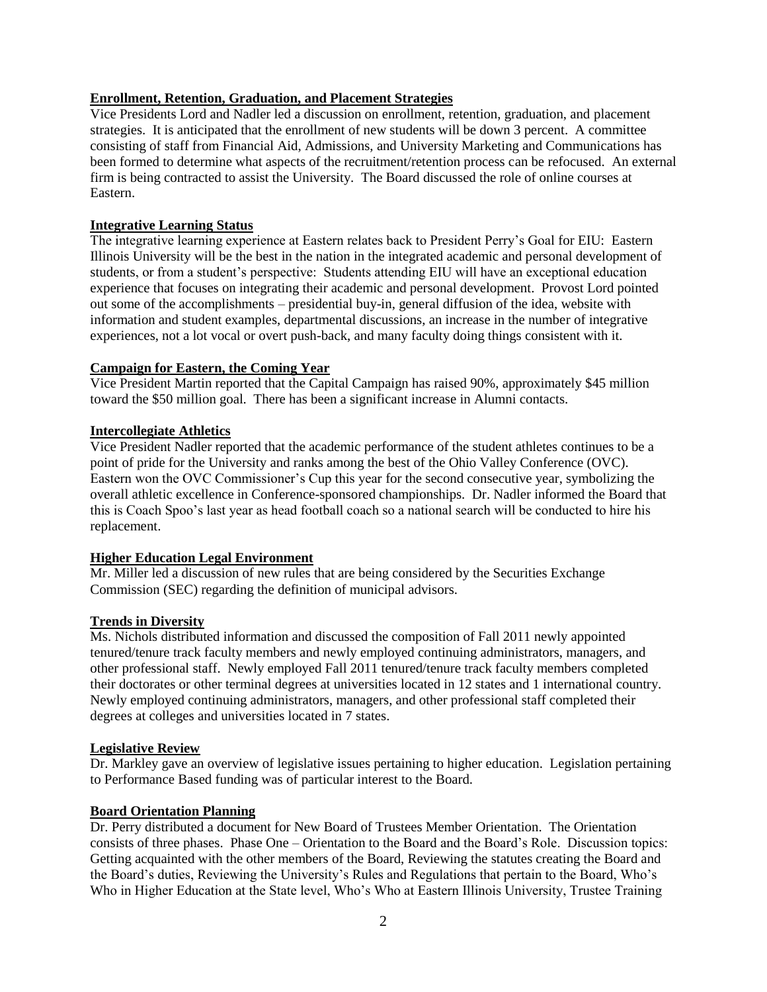# **Enrollment, Retention, Graduation, and Placement Strategies**

Vice Presidents Lord and Nadler led a discussion on enrollment, retention, graduation, and placement strategies. It is anticipated that the enrollment of new students will be down 3 percent. A committee consisting of staff from Financial Aid, Admissions, and University Marketing and Communications has been formed to determine what aspects of the recruitment/retention process can be refocused. An external firm is being contracted to assist the University. The Board discussed the role of online courses at Eastern.

#### **Integrative Learning Status**

The integrative learning experience at Eastern relates back to President Perry"s Goal for EIU: Eastern Illinois University will be the best in the nation in the integrated academic and personal development of students, or from a student"s perspective: Students attending EIU will have an exceptional education experience that focuses on integrating their academic and personal development. Provost Lord pointed out some of the accomplishments – presidential buy-in, general diffusion of the idea, website with information and student examples, departmental discussions, an increase in the number of integrative experiences, not a lot vocal or overt push-back, and many faculty doing things consistent with it.

## **Campaign for Eastern, the Coming Year**

Vice President Martin reported that the Capital Campaign has raised 90%, approximately \$45 million toward the \$50 million goal. There has been a significant increase in Alumni contacts.

#### **Intercollegiate Athletics**

Vice President Nadler reported that the academic performance of the student athletes continues to be a point of pride for the University and ranks among the best of the Ohio Valley Conference (OVC). Eastern won the OVC Commissioner"s Cup this year for the second consecutive year, symbolizing the overall athletic excellence in Conference-sponsored championships. Dr. Nadler informed the Board that this is Coach Spoo"s last year as head football coach so a national search will be conducted to hire his replacement.

## **Higher Education Legal Environment**

Mr. Miller led a discussion of new rules that are being considered by the Securities Exchange Commission (SEC) regarding the definition of municipal advisors.

## **Trends in Diversity**

Ms. Nichols distributed information and discussed the composition of Fall 2011 newly appointed tenured/tenure track faculty members and newly employed continuing administrators, managers, and other professional staff. Newly employed Fall 2011 tenured/tenure track faculty members completed their doctorates or other terminal degrees at universities located in 12 states and 1 international country. Newly employed continuing administrators, managers, and other professional staff completed their degrees at colleges and universities located in 7 states.

#### **Legislative Review**

Dr. Markley gave an overview of legislative issues pertaining to higher education. Legislation pertaining to Performance Based funding was of particular interest to the Board.

#### **Board Orientation Planning**

Dr. Perry distributed a document for New Board of Trustees Member Orientation. The Orientation consists of three phases. Phase One – Orientation to the Board and the Board"s Role. Discussion topics: Getting acquainted with the other members of the Board, Reviewing the statutes creating the Board and the Board's duties, Reviewing the University's Rules and Regulations that pertain to the Board, Who's Who in Higher Education at the State level, Who"s Who at Eastern Illinois University, Trustee Training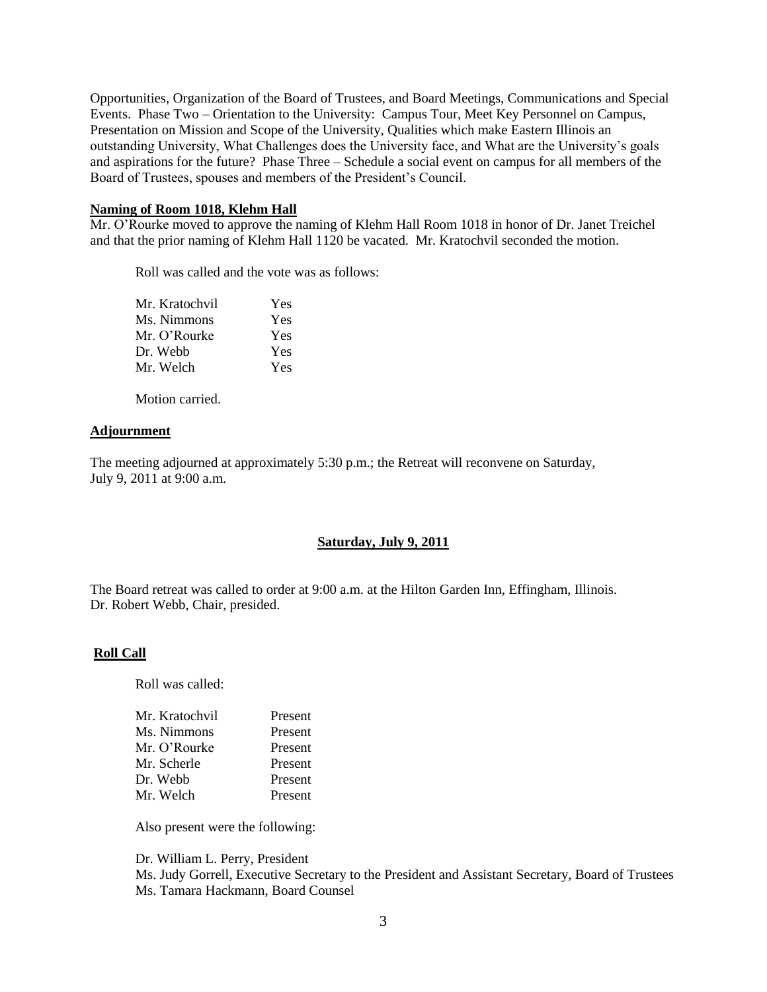Opportunities, Organization of the Board of Trustees, and Board Meetings, Communications and Special Events. Phase Two – Orientation to the University: Campus Tour, Meet Key Personnel on Campus, Presentation on Mission and Scope of the University, Qualities which make Eastern Illinois an outstanding University, What Challenges does the University face, and What are the University"s goals and aspirations for the future? Phase Three – Schedule a social event on campus for all members of the Board of Trustees, spouses and members of the President"s Council.

#### **Naming of Room 1018, Klehm Hall**

Mr. O"Rourke moved to approve the naming of Klehm Hall Room 1018 in honor of Dr. Janet Treichel and that the prior naming of Klehm Hall 1120 be vacated. Mr. Kratochvil seconded the motion.

Roll was called and the vote was as follows:

| Yes |
|-----|
| Yes |
| Yes |
| Yes |
| Yes |
|     |

Motion carried.

#### **Adjournment**

The meeting adjourned at approximately 5:30 p.m.; the Retreat will reconvene on Saturday, July 9, 2011 at 9:00 a.m.

## **Saturday, July 9, 2011**

The Board retreat was called to order at 9:00 a.m. at the Hilton Garden Inn, Effingham, Illinois. Dr. Robert Webb, Chair, presided.

#### **Roll Call**

Roll was called:

| Present |
|---------|
| Present |
| Present |
| Present |
| Present |
| Present |
|         |

Also present were the following:

Dr. William L. Perry, President Ms. Judy Gorrell, Executive Secretary to the President and Assistant Secretary, Board of Trustees Ms. Tamara Hackmann, Board Counsel